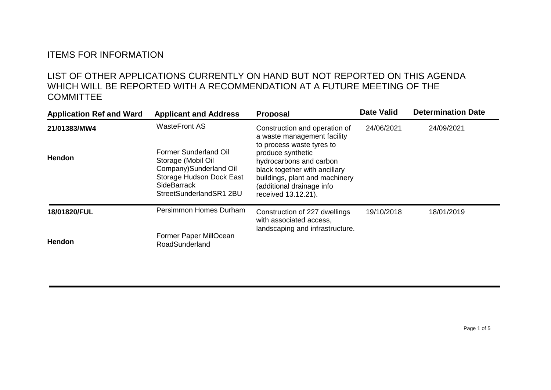## ITEMS FOR INFORMATION

## LIST OF OTHER APPLICATIONS CURRENTLY ON HAND BUT NOT REPORTED ON THIS AGENDA WHICH WILL BE REPORTED WITH A RECOMMENDATION AT A FUTURE MEETING OF THE **COMMITTEE**

| <b>Application Ref and Ward</b> | <b>Applicant and Address</b>                                                                                                                        | <b>Proposal</b>                                                                                                                                                                                  | <b>Date Valid</b> | <b>Determination Date</b> |
|---------------------------------|-----------------------------------------------------------------------------------------------------------------------------------------------------|--------------------------------------------------------------------------------------------------------------------------------------------------------------------------------------------------|-------------------|---------------------------|
| 21/01383/MW4                    | <b>WasteFront AS</b>                                                                                                                                | Construction and operation of<br>a waste management facility                                                                                                                                     | 24/06/2021        | 24/09/2021                |
| <b>Hendon</b>                   | Former Sunderland Oil<br>Storage (Mobil Oil<br>Company) Sunderland Oil<br>Storage Hudson Dock East<br><b>SideBarrack</b><br>StreetSunderlandSR1 2BU | to process waste tyres to<br>produce synthetic<br>hydrocarbons and carbon<br>black together with ancillary<br>buildings, plant and machinery<br>(additional drainage info<br>received 13.12.21). |                   |                           |
| 18/01820/FUL                    | Persimmon Homes Durham                                                                                                                              | Construction of 227 dwellings<br>with associated access,<br>landscaping and infrastructure.                                                                                                      | 19/10/2018        | 18/01/2019                |
| Hendon                          | Former Paper MillOcean<br>RoadSunderland                                                                                                            |                                                                                                                                                                                                  |                   |                           |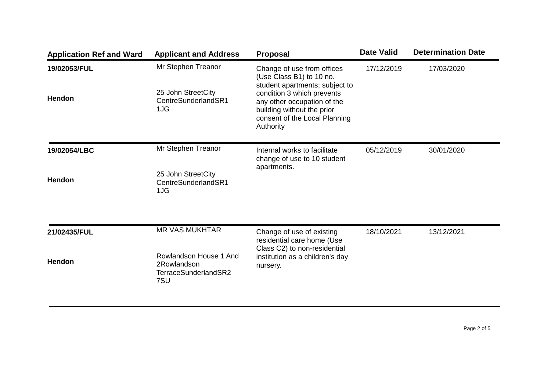| <b>Application Ref and Ward</b> | <b>Applicant and Address</b>                                                                  | <b>Proposal</b>                                                                                                                                                                                                                   | <b>Date Valid</b> | <b>Determination Date</b> |
|---------------------------------|-----------------------------------------------------------------------------------------------|-----------------------------------------------------------------------------------------------------------------------------------------------------------------------------------------------------------------------------------|-------------------|---------------------------|
| 19/02053/FUL<br>Hendon          | Mr Stephen Treanor<br>25 John StreetCity<br>CentreSunderlandSR1<br>1JG                        | Change of use from offices<br>(Use Class B1) to 10 no.<br>student apartments; subject to<br>condition 3 which prevents<br>any other occupation of the<br>building without the prior<br>consent of the Local Planning<br>Authority | 17/12/2019        | 17/03/2020                |
| 19/02054/LBC<br>Hendon          | Mr Stephen Treanor<br>25 John StreetCity<br>CentreSunderlandSR1<br>1JG                        | Internal works to facilitate<br>change of use to 10 student<br>apartments.                                                                                                                                                        | 05/12/2019        | 30/01/2020                |
| 21/02435/FUL<br>Hendon          | <b>MR VAS MUKHTAR</b><br>Rowlandson House 1 And<br>2Rowlandson<br>TerraceSunderlandSR2<br>7SU | Change of use of existing<br>residential care home (Use<br>Class C2) to non-residential<br>institution as a children's day<br>nursery.                                                                                            | 18/10/2021        | 13/12/2021                |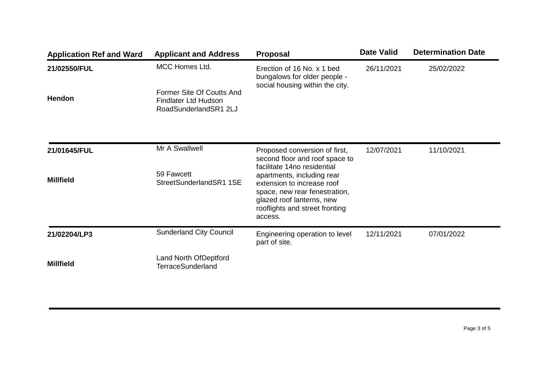| <b>Application Ref and Ward</b> | <b>Applicant and Address</b>                                                      | <b>Proposal</b>                                                                                                                                                                                    | <b>Date Valid</b> | <b>Determination Date</b> |
|---------------------------------|-----------------------------------------------------------------------------------|----------------------------------------------------------------------------------------------------------------------------------------------------------------------------------------------------|-------------------|---------------------------|
| 21/02550/FUL                    | <b>MCC Homes Ltd.</b>                                                             | Erection of 16 No. x 1 bed<br>bungalows for older people -<br>social housing within the city.                                                                                                      | 26/11/2021        | 25/02/2022                |
| <b>Hendon</b>                   | Former Site Of Coutts And<br><b>Findlater Ltd Hudson</b><br>RoadSunderlandSR1 2LJ |                                                                                                                                                                                                    |                   |                           |
| 21/01645/FUL                    | Mr A Swallwell                                                                    | Proposed conversion of first,<br>second floor and roof space to                                                                                                                                    | 12/07/2021        | 11/10/2021                |
| <b>Millfield</b>                | 59 Fawcett<br>StreetSunderlandSR1 1SE                                             | facilitate 14no residential<br>apartments, including rear<br>extension to increase roof<br>space, new rear fenestration,<br>glazed roof lanterns, new<br>rooflights and street fronting<br>access. |                   |                           |
| 21/02204/LP3                    | <b>Sunderland City Council</b>                                                    | Engineering operation to level<br>part of site.                                                                                                                                                    | 12/11/2021        | 07/01/2022                |
| <b>Millfield</b>                | Land North OfDeptford<br><b>TerraceSunderland</b>                                 |                                                                                                                                                                                                    |                   |                           |

Page 3 of 5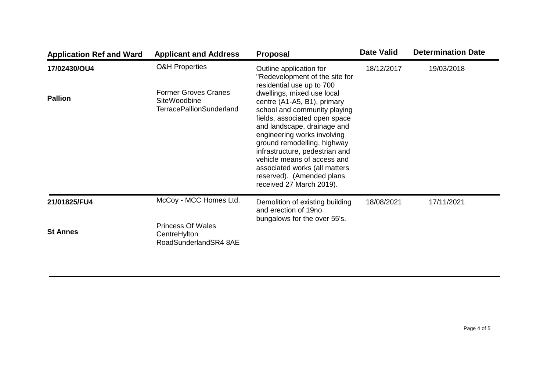| <b>Application Ref and Ward</b> | <b>Applicant and Address</b>                                                   | <b>Proposal</b>                                                                                                                                                                                                                                                                                                                                                                    | <b>Date Valid</b> | <b>Determination Date</b> |
|---------------------------------|--------------------------------------------------------------------------------|------------------------------------------------------------------------------------------------------------------------------------------------------------------------------------------------------------------------------------------------------------------------------------------------------------------------------------------------------------------------------------|-------------------|---------------------------|
| 17/02430/OU4                    | <b>O&amp;H Properties</b>                                                      | Outline application for<br>"Redevelopment of the site for<br>residential use up to 700                                                                                                                                                                                                                                                                                             | 18/12/2017        | 19/03/2018                |
| <b>Pallion</b>                  | <b>Former Groves Cranes</b><br>SiteWoodbine<br><b>TerracePallionSunderland</b> | dwellings, mixed use local<br>centre (A1-A5, B1), primary<br>school and community playing<br>fields, associated open space<br>and landscape, drainage and<br>engineering works involving<br>ground remodelling, highway<br>infrastructure, pedestrian and<br>vehicle means of access and<br>associated works (all matters<br>reserved). (Amended plans<br>received 27 March 2019). |                   |                           |
| 21/01825/FU4                    | McCoy - MCC Homes Ltd.                                                         | Demolition of existing building<br>and erection of 19no<br>bungalows for the over 55's.                                                                                                                                                                                                                                                                                            | 18/08/2021        | 17/11/2021                |
| <b>St Annes</b>                 | <b>Princess Of Wales</b><br>CentreHylton<br>RoadSunderlandSR4 8AE              |                                                                                                                                                                                                                                                                                                                                                                                    |                   |                           |